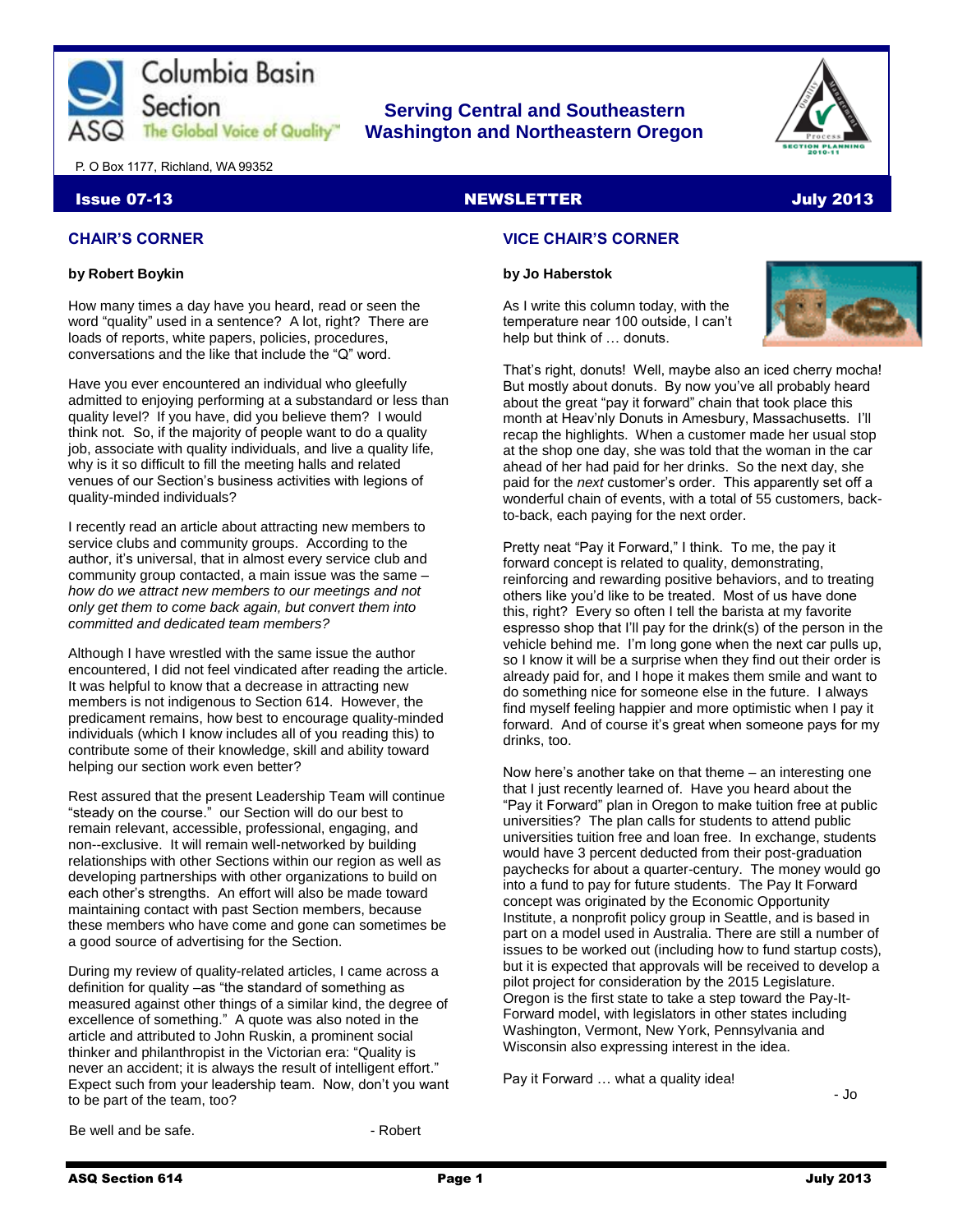

# **Serving Central and Southeastern The Global Voice of Quality | Washington and Northeastern Oregon**



P. O Box 1177, Richland, WA 99352

#### Issue 07-13 NEWSLETTER And the control of the control of the control of the control of the control of the control of the control of the control of the control of the control of the control of the control of the control of

### **CHAIR'S CORNER**

#### **by Robert Boykin**

How many times a day have you heard, read or seen the word "quality" used in a sentence? A lot, right? There are loads of reports, white papers, policies, procedures, conversations and the like that include the "Q" word.

Have you ever encountered an individual who gleefully admitted to enjoying performing at a substandard or less than quality level? If you have, did you believe them? I would think not. So, if the majority of people want to do a quality job, associate with quality individuals, and live a quality life, why is it so difficult to fill the meeting halls and related venues of our Section's business activities with legions of quality-minded individuals?

I recently read an article about attracting new members to service clubs and community groups. According to the author, it's universal, that in almost every service club and community group contacted, a main issue was the same – *how do we attract new members to our meetings and not only get them to come back again, but convert them into committed and dedicated team members?*

Although I have wrestled with the same issue the author encountered, I did not feel vindicated after reading the article. It was helpful to know that a decrease in attracting new members is not indigenous to Section 614. However, the predicament remains, how best to encourage quality-minded individuals (which I know includes all of you reading this) to contribute some of their knowledge, skill and ability toward helping our section work even better?

Rest assured that the present Leadership Team will continue "steady on the course." our Section will do our best to remain relevant, accessible, professional, engaging, and non--exclusive. It will remain well-networked by building relationships with other Sections within our region as well as developing partnerships with other organizations to build on each other's strengths. An effort will also be made toward maintaining contact with past Section members, because these members who have come and gone can sometimes be a good source of advertising for the Section.

During my review of quality-related articles, I came across a definition for quality –as "the standard of something as measured against other things of a similar kind, the degree of excellence of something." A quote was also noted in the article and attributed to John Ruskin, a prominent social thinker and philanthropist in the Victorian era: "Quality is never an accident; it is always the result of intelligent effort." Expect such from your leadership team. Now, don't you want to be part of the team, too?

## **VICE CHAIR'S CORNER**

#### **by Jo Haberstok**

As I write this column today, with the temperature near 100 outside, I can't help but think of … donuts.



That's right, donuts! Well, maybe also an iced cherry mocha! But mostly about donuts. By now you've all probably heard about the great "pay it forward" chain that took place this month at Heav'nly Donuts in Amesbury, Massachusetts. I'll recap the highlights. When a customer made her usual stop at the shop one day, she was told that the woman in the car ahead of her had paid for her drinks. So the next day, she paid for the *next* customer's order. This apparently set off a wonderful chain of events, with a total of 55 customers, backto-back, each paying for the next order.

Pretty neat "Pay it Forward," I think. To me, the pay it forward concept is related to quality, demonstrating, reinforcing and rewarding positive behaviors, and to treating others like you'd like to be treated. Most of us have done this, right? Every so often I tell the barista at my favorite espresso shop that I'll pay for the drink(s) of the person in the vehicle behind me. I'm long gone when the next car pulls up, so I know it will be a surprise when they find out their order is already paid for, and I hope it makes them smile and want to do something nice for someone else in the future. I always find myself feeling happier and more optimistic when I pay it forward. And of course it's great when someone pays for my drinks, too.

Now here's another take on that theme – an interesting one that I just recently learned of. Have you heard about the "Pay it Forward" plan in Oregon to make tuition free at public universities? The plan calls for students to attend public universities tuition free and loan free. In exchange, students would have 3 percent deducted from their post-graduation paychecks for about a quarter-century. The money would go into a fund to pay for future students. The Pay It Forward concept was originated by the Economic Opportunity Institute, a nonprofit policy group in Seattle, and is based in part on a model used in Australia. There are still a number of issues to be worked out (including how to fund startup costs), but it is expected that approvals will be received to develop a pilot project for consideration by the 2015 Legislature. Oregon is the first state to take a step toward the Pay-It-Forward model, with legislators in other states including Washington, Vermont, New York, Pennsylvania and Wisconsin also expressing interest in the idea.

Pay it Forward … what a quality idea!

- Jo

Be well and be safe. The same state of the Robert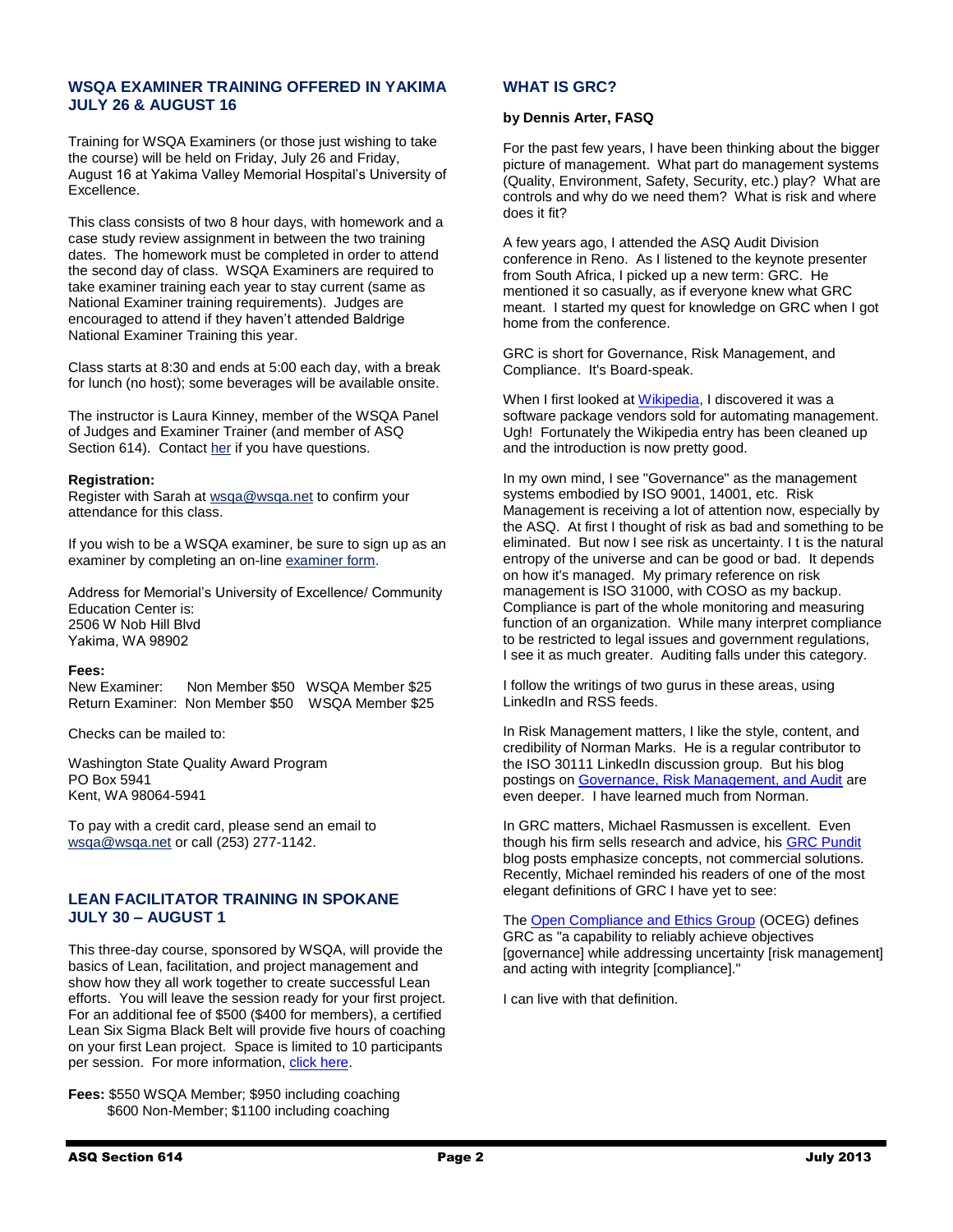### **WSQA EXAMINER TRAINING OFFERED IN YAKIMA JULY 26 & AUGUST 16**

Training for WSQA Examiners (or those just wishing to take the course) will be held on Friday, July 26 and Friday, August 16 at Yakima Valley Memorial Hospital's University of Excellence.

This class consists of two 8 hour days, with homework and a case study review assignment in between the two training dates. The homework must be completed in order to attend the second day of class. WSQA Examiners are required to take examiner training each year to stay current (same as National Examiner training requirements). Judges are encouraged to attend if they haven't attended Baldrige National Examiner Training this year.

Class starts at 8:30 and ends at 5:00 each day, with a break for lunch (no host); some beverages will be available onsite.

The instructor is Laura Kinney, member of the WSQA Panel of Judges and Examiner Trainer (and member of ASQ Section 614). Contac[t her](mailto:laurakinney@yvmh.org) if you have questions.

#### **Registration:**

Register with Sarah at [wsqa@wsqa.net](mailto:wsqa@wsqa.net) to confirm your attendance for this class.

If you wish to be a WSQA examiner, be sure to sign up as an examiner by completing an on-lin[e examiner form.](http://www.wsqa.net/applicationEx.php)

Address for Memorial's University of Excellence/ Community Education Center is: 2506 W Nob Hill Blvd Yakima, WA 98902

#### **Fees:**

New Examiner: Non Member \$50 WSQA Member \$25 Return Examiner: Non Member \$50 WSQA Member \$25

Checks can be mailed to:

Washington State Quality Award Program PO Box 5941 Kent, WA 98064-5941

To pay with a credit card, please send an email to [wsqa@wsqa.net](mailto:wsqa@wsqa.net) or call (253) 277-1142.

### **LEAN FACILITATOR TRAINING IN SPOKANE JULY 30 – AUGUST 1**

This three-day course, sponsored by WSQA, will provide the basics of Lean, facilitation, and project management and show how they all work together to create successful Lean efforts. You will leave the session ready for your first project. For an additional fee of \$500 (\$400 for members), a certified Lean Six Sigma Black Belt will provide five hours of coaching on your first Lean project. Space is limited to 10 participants per session. For more information, [click here.](http://www.wsqa.net/descriptions.php)

**Fees:** \$550 WSQA Member; \$950 including coaching \$600 Non-Member; \$1100 including coaching

#### **WHAT IS GRC?**

#### **by Dennis Arter, FASQ**

For the past few years, I have been thinking about the bigger picture of management. What part do management systems (Quality, Environment, Safety, Security, etc.) play? What are controls and why do we need them? What is risk and where does it fit?

A few years ago, I attended the ASQ Audit Division conference in Reno. As I listened to the keynote presenter from South Africa, I picked up a new term: GRC. He mentioned it so casually, as if everyone knew what GRC meant. I started my quest for knowledge on GRC when I got home from the conference.

GRC is short for Governance, Risk Management, and Compliance. It's Board-speak.

When I first looked at [Wikipedia,](http://en.wikipedia.org/wiki/Governance,_Risk_Management,_and_Compliance) I discovered it was a software package vendors sold for automating management. Ugh! Fortunately the Wikipedia entry has been cleaned up and the introduction is now pretty good.

In my own mind, I see "Governance" as the management systems embodied by ISO 9001, 14001, etc. Risk Management is receiving a lot of attention now, especially by the ASQ. At first I thought of risk as bad and something to be eliminated. But now I see risk as uncertainty. I t is the natural entropy of the universe and can be good or bad. It depends on how it's managed. My primary reference on risk management is ISO 31000, with COSO as my backup. Compliance is part of the whole monitoring and measuring function of an organization. While many interpret compliance to be restricted to legal issues and government regulations, I see it as much greater. Auditing falls under this category.

I follow the writings of two gurus in these areas, using LinkedIn and RSS feeds.

In Risk Management matters, I like the style, content, and credibility of Norman Marks. He is a regular contributor to the ISO 30111 LinkedIn discussion group. But his blog postings on [Governance, Risk Management, and Audit](http://normanmarks.wordpress.com/) are even deeper. I have learned much from Norman.

In GRC matters, Michael Rasmussen is excellent. Even though his firm sells research and advice, his [GRC Pundit](http://grc2020.com/blog) blog posts emphasize concepts, not commercial solutions. Recently, Michael reminded his readers of one of the most elegant definitions of GRC I have yet to see:

The [Open Compliance and Ethics Group](http://www.oceg.org/) (OCEG) defines GRC as "a capability to reliably achieve objectives [governance] while addressing uncertainty [risk management] and acting with integrity [compliance]."

I can live with that definition.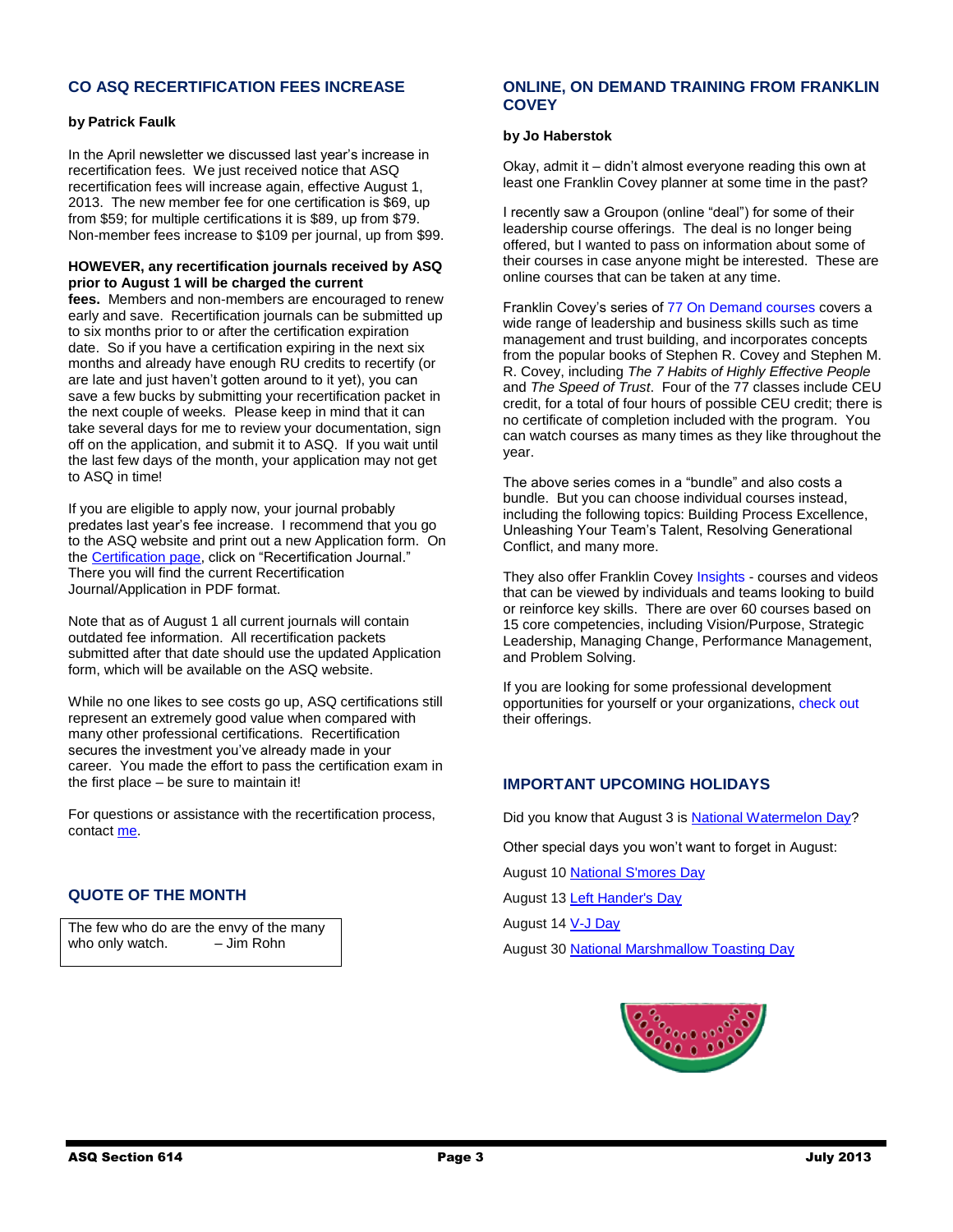### **CO ASQ RECERTIFICATION FEES INCREASE**

#### **by Patrick Faulk**

In the April newsletter we discussed last year's increase in recertification fees. We just received notice that ASQ recertification fees will increase again, effective August 1, 2013. The new member fee for one certification is \$69, up from \$59; for multiple certifications it is \$89, up from \$79. Non-member fees increase to \$109 per journal, up from \$99.

#### **HOWEVER, any recertification journals received by ASQ prior to August 1 will be charged the current**

**fees.** Members and non-members are encouraged to renew early and save. Recertification journals can be submitted up to six months prior to or after the certification expiration date. So if you have a certification expiring in the next six months and already have enough RU credits to recertify (or are late and just haven't gotten around to it yet), you can save a few bucks by submitting your recertification packet in the next couple of weeks. Please keep in mind that it can take several days for me to review your documentation, sign off on the application, and submit it to ASQ. If you wait until the last few days of the month, your application may not get to ASQ in time!

If you are eligible to apply now, your journal probably predates last year's fee increase. I recommend that you go to the ASQ website and print out a new Application form. On the [Certification page,](http://prdweb.asq.org/certification/control/recertification/index) click on "Recertification Journal." There you will find the current Recertification Journal/Application in PDF format.

Note that as of August 1 all current journals will contain outdated fee information. All recertification packets submitted after that date should use the updated Application form, which will be available on the ASQ website.

While no one likes to see costs go up, ASQ certifications still represent an extremely good value when compared with many other professional certifications. Recertification secures the investment you've already made in your career. You made the effort to pass the certification exam in the first place – be sure to maintain it!

For questions or assistance with the recertification process, contac[t me.](mailto:PRFAULK@bechtel.com)

### **QUOTE OF THE MONTH**

The few who do are the envy of the many who only watch.  $-$  Jim Rohn

### **ONLINE, ON DEMAND TRAINING FROM FRANKLIN COVEY**

#### **by Jo Haberstok**

Okay, admit it – didn't almost everyone reading this own at least one Franklin Covey planner at some time in the past?

I recently saw a Groupon (online "deal") for some of their leadership course offerings. The deal is no longer being offered, but I wanted to pass on information about some of their courses in case anyone might be interested. These are online courses that can be taken at any time.

Franklin Covey's series of [77 On Demand courses](http://www.franklincovey.com/tc/publicworkshops/franklincovey-on-demand-courses/one-year-access-to-77-online-self-paced-leadership-courses) covers a wide range of leadership and business skills such as time management and trust building, and incorporates concepts from the popular books of Stephen R. Covey and Stephen M. R. Covey, including *The 7 Habits of Highly Effective People* and *The Speed of Trust*. Four of the 77 classes include CEU credit, for a total of four hours of possible CEU credit; there is no certificate of completion included with the program. You can watch courses as many times as they like throughout the year.

The above series comes in a "bundle" and also costs a bundle. But you can choose individual courses instead, including the following topics: Building Process Excellence, Unleashing Your Team's Talent, Resolving Generational Conflict, and many more.

They also offer Franklin Covey [Insights](http://www.franklincovey.com/tc/solutions/online-learning/franklincovey-insights/competencies) - courses and videos that can be viewed by individuals and teams looking to build or reinforce key skills. There are over 60 courses based on 15 core competencies, including Vision/Purpose, Strategic Leadership, Managing Change, Performance Management, and Problem Solving.

If you are looking for some professional development opportunities for yourself or your organizations, [check out](http://www.franklincovey.com/tc/solutions/online-learning) their offerings.

### **IMPORTANT UPCOMING HOLIDAYS**

Did you know that August 3 is [National Watermelon Day?](http://www.holidayinsights.com/other/watermelon.htm)

Other special days you won't want to forget in August:

August 10 [National S'mores Day](http://www.holidayinsights.com/other/smoresday.htm)

August 13 [Left Hander's Day](http://www.holidayinsights.com/other/lefthand.htm)

August 14 [V-J Day](http://www.holidayinsights.com/moreholidays/September/vjday.htm)

August 30 [National Marshmallow Toasting Day](http://www.holidayinsights.com/other/marsh.htm)

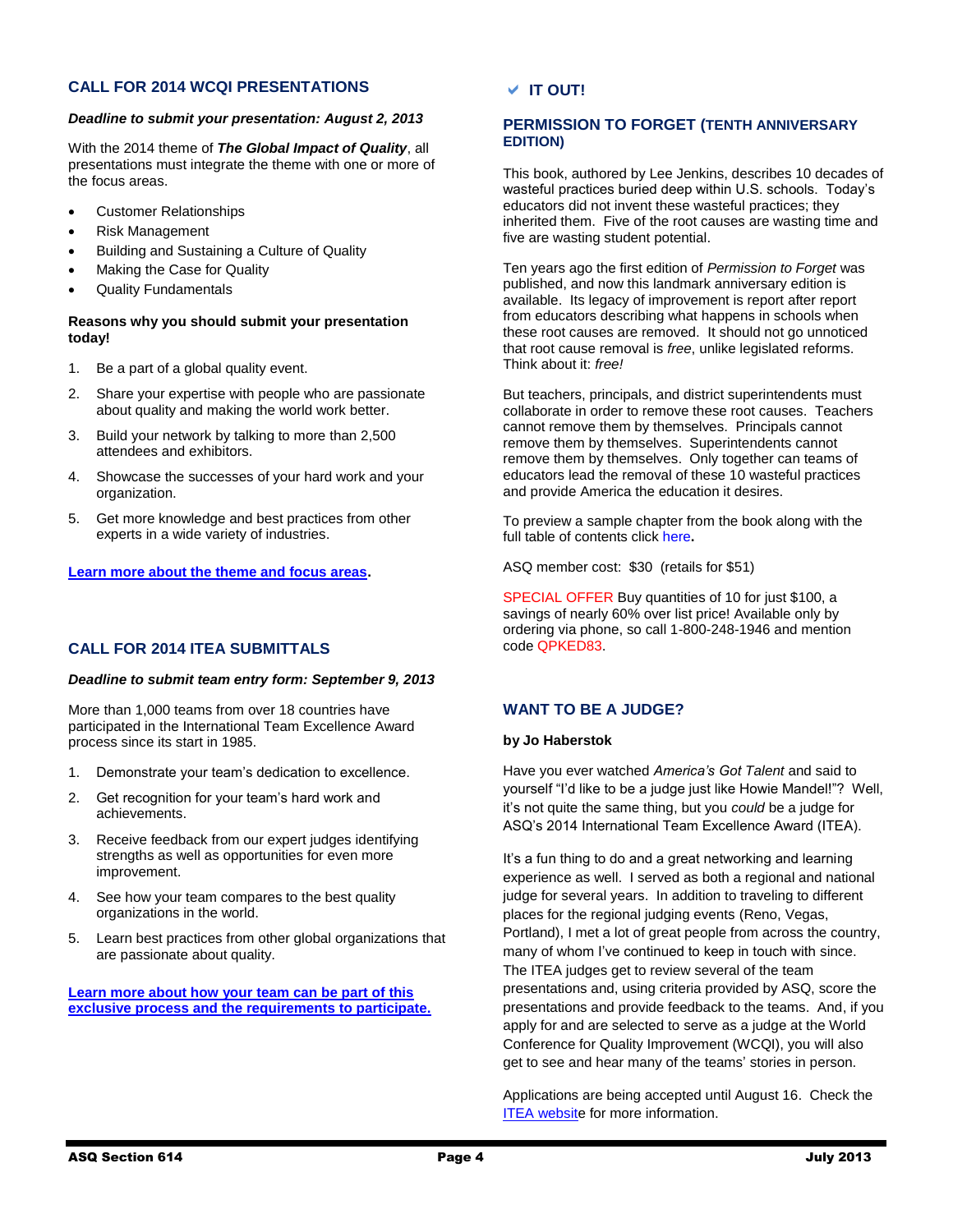### **CALL FOR 2014 WCQI PRESENTATIONS**

#### *Deadline to submit your presentation: August 2, 2013*

With the 2014 theme of *The Global Impact of Quality*, all presentations must integrate the theme with one or more of the focus areas.

- Customer Relationships
- Risk Management
- Building and Sustaining a Culture of Quality
- Making the Case for Quality
- Quality Fundamentals

#### **Reasons why you should submit your presentation today!**

- 1. Be a part of a global quality event.
- 2. Share your expertise with people who are passionate about quality and making the world work better.
- 3. Build your network by talking to more than 2,500 attendees and exhibitors.
- 4. Showcase the successes of your hard work and your organization.
- 5. Get more knowledge and best practices from other experts in a wide variety of industries.

#### **[Learn more about the theme and focus areas.](http://links.communications.asq.org/ctt?kn=5&ms=NjU0ODg0MwS2&r=NTI3NTA5MTIzMTgS1&b=0&j=NzgyMjI5MzgS1&mt=1&rt=0)**

### **CALL FOR 2014 ITEA SUBMITTALS**

#### *Deadline to submit team entry form: September 9, 2013*

More than 1,000 teams from over 18 countries have participated in the International Team Excellence Award process since its start in 1985.

- 1. Demonstrate your team's dedication to excellence.
- 2. Get recognition for your team's hard work and achievements.
- 3. Receive feedback from our expert judges identifying strengths as well as opportunities for even more improvement.
- 4. See how your team compares to the best quality organizations in the world.
- 5. Learn best practices from other global organizations that are passionate about quality.

**[Learn more about how your team can be part of this](http://links.communications.asq.org/ctt?kn=7&ms=NjU0ODg0MwS2&r=NTI3NTA5MTIzMTgS1&b=0&j=NzgyMjI5MzgS1&mt=1&rt=0)  [exclusive process and the requirements to participate.](http://links.communications.asq.org/ctt?kn=7&ms=NjU0ODg0MwS2&r=NTI3NTA5MTIzMTgS1&b=0&j=NzgyMjI5MzgS1&mt=1&rt=0)**

### **IT OUT!**

### **PERMISSION TO FORGET (TENTH ANNIVERSARY EDITION)**

This book, authored by Lee Jenkins, describes 10 decades of wasteful practices buried deep within U.S. schools. Today's educators did not invent these wasteful practices; they inherited them. Five of the root causes are wasting time and five are wasting student potential.

Ten years ago the first edition of *Permission to Forget* was published, and now this landmark anniversary edition is available. Its legacy of improvement is report after report from educators describing what happens in schools when these root causes are removed. It should not go unnoticed that root cause removal is *free*, unlike legislated reforms. Think about it: *free!*

But teachers, principals, and district superintendents must collaborate in order to remove these root causes. Teachers cannot remove them by themselves. Principals cannot remove them by themselves. Superintendents cannot remove them by themselves. Only together can teams of educators lead the removal of these 10 wasteful practices and provide America the education it desires.

To preview a sample chapter from the book along with the full table of contents click [here](http://asq.org/chapters/H1450.pdf)**.**

ASQ member cost: \$30 (retails for \$51)

SPECIAL OFFER Buy quantities of 10 for just \$100, a savings of nearly 60% over list price! Available only by ordering via phone, so call 1-800-248-1946 and mention code QPKED83.

### **WANT TO BE A JUDGE?**

#### **by Jo Haberstok**

Have you ever watched *America's Got Talent* and said to yourself "I'd like to be a judge just like Howie Mandel!"? Well, it's not quite the same thing, but you *could* be a judge for ASQ's 2014 International Team Excellence Award (ITEA).

It's a fun thing to do and a great networking and learning experience as well. I served as both a regional and national judge for several years. In addition to traveling to different places for the regional judging events (Reno, Vegas, Portland), I met a lot of great people from across the country, many of whom I've continued to keep in touch with since. The ITEA judges get to review several of the team presentations and, using criteria provided by ASQ, score the presentations and provide feedback to the teams. And, if you apply for and are selected to serve as a judge at the World Conference for Quality Improvement (WCQI), you will also get to see and hear many of the teams' stories in person.

Applications are being accepted until August 16. Check the [ITEA website](https://secure.asq.org/conferences/wcqi-2014/judges-application-form.html?WT.dcsvid=NTI5Mjk2MzE4ODAS1&WT.mc_id=EM1110537M) for more information.